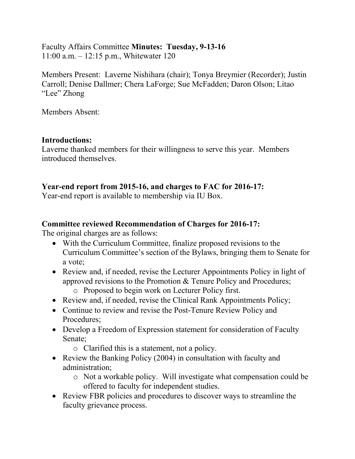Faculty Affairs Committee **Minutes: Tuesday, 9-13-16** 11:00 a.m. – 12:15 p.m., Whitewater 120

Members Present: Laverne Nishihara (chair); Tonya Breymier (Recorder); Justin Carroll; Denise Dallmer; Chera LaForge; Sue McFadden; Daron Olson; Litao "Lee" Zhong

Members Absent:

## **Introductions:**

Laverne thanked members for their willingness to serve this year. Members introduced themselves.

# **Year-end report from 2015-16, and charges to FAC for 2016-17:**

Year-end report is available to membership via IU Box.

## **Committee reviewed Recommendation of Charges for 2016-17:**

The original charges are as follows:

- With the Curriculum Committee, finalize proposed revisions to the Curriculum Committee's section of the Bylaws, bringing them to Senate for a vote;
- Review and, if needed, revise the Lecturer Appointments Policy in light of approved revisions to the Promotion & Tenure Policy and Procedures; o Proposed to begin work on Lecturer Policy first.
- Review and, if needed, revise the Clinical Rank Appointments Policy;
- Continue to review and revise the Post-Tenure Review Policy and Procedures;
- Develop a Freedom of Expression statement for consideration of Faculty Senate;
	- o Clarified this is a statement, not a policy.
- Review the Banking Policy (2004) in consultation with faculty and administration;
	- o Not a workable policy. Will investigate what compensation could be offered to faculty for independent studies.
- Review FBR policies and procedures to discover ways to streamline the faculty grievance process.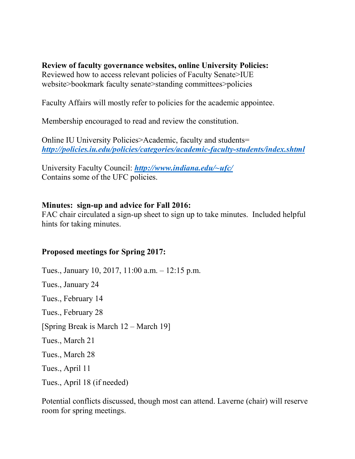**Review of faculty governance websites, online University Policies:** Reviewed how to access relevant policies of Faculty Senate>IUE website>bookmark faculty senate>standing committees>policies

Faculty Affairs will mostly refer to policies for the academic appointee.

Membership encouraged to read and review the constitution.

Online IU University Policies>Academic, faculty and students= *<http://policies.iu.edu/policies/categories/academic-faculty-students/index.shtml>*

University Faculty Council: *[http://www.indiana.edu/~ufc/](http://www.indiana.edu/%7Eufc/)* Contains some of the UFC policies.

## **Minutes: sign-up and advice for Fall 2016:**

FAC chair circulated a sign-up sheet to sign up to take minutes. Included helpful hints for taking minutes.

## **Proposed meetings for Spring 2017:**

Tues., January 10, 2017, 11:00 a.m. – 12:15 p.m. Tues., January 24 Tues., February 14 Tues., February 28 [Spring Break is March 12 – March 19] Tues., March 21 Tues., March 28 Tues., April 11 Tues., April 18 (if needed)

Potential conflicts discussed, though most can attend. Laverne (chair) will reserve room for spring meetings.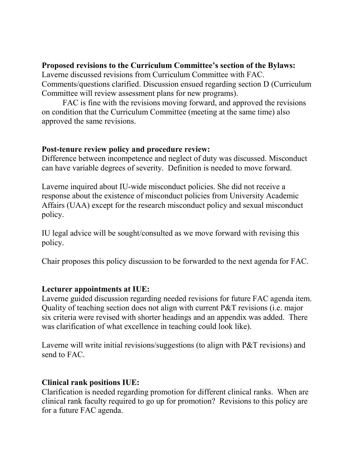## **Proposed revisions to the Curriculum Committee's section of the Bylaws:**

Laverne discussed revisions from Curriculum Committee with FAC. Comments/questions clarified. Discussion ensued regarding section D (Curriculum Committee will review assessment plans for new programs).

FAC is fine with the revisions moving forward, and approved the revisions on condition that the Curriculum Committee (meeting at the same time) also approved the same revisions.

#### **Post-tenure review policy and procedure review:**

Difference between incompetence and neglect of duty was discussed. Misconduct can have variable degrees of severity. Definition is needed to move forward.

Laverne inquired about IU-wide misconduct policies. She did not receive a response about the existence of misconduct policies from University Academic Affairs (UAA) except for the research misconduct policy and sexual misconduct policy.

IU legal advice will be sought/consulted as we move forward with revising this policy.

Chair proposes this policy discussion to be forwarded to the next agenda for FAC.

## **Lecturer appointments at IUE:**

Laverne guided discussion regarding needed revisions for future FAC agenda item. Quality of teaching section does not align with current P&T revisions (i.e. major six criteria were revised with shorter headings and an appendix was added. There was clarification of what excellence in teaching could look like).

Laverne will write initial revisions/suggestions (to align with P&T revisions) and send to FAC.

## **Clinical rank positions IUE:**

Clarification is needed regarding promotion for different clinical ranks. When are clinical rank faculty required to go up for promotion? Revisions to this policy are for a future FAC agenda.